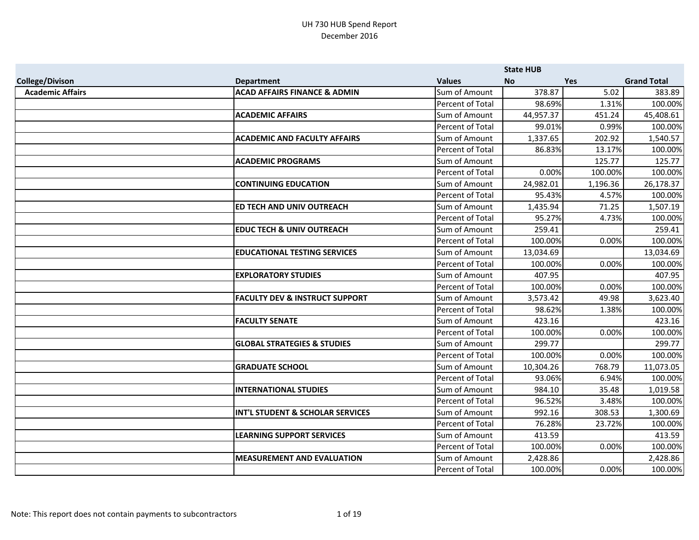|                         |                                           |                         | <b>State HUB</b> |            |                    |
|-------------------------|-------------------------------------------|-------------------------|------------------|------------|--------------------|
| <b>College/Divison</b>  | <b>Department</b>                         | <b>Values</b>           | <b>No</b>        | <b>Yes</b> | <b>Grand Total</b> |
| <b>Academic Affairs</b> | <b>ACAD AFFAIRS FINANCE &amp; ADMIN</b>   | Sum of Amount           | 378.87           | 5.02       | 383.89             |
|                         |                                           | Percent of Total        | 98.69%           | 1.31%      | 100.00%            |
|                         | <b>ACADEMIC AFFAIRS</b>                   | Sum of Amount           | 44,957.37        | 451.24     | 45,408.61          |
|                         |                                           | Percent of Total        | 99.01%           | 0.99%      | 100.00%            |
|                         | <b>ACADEMIC AND FACULTY AFFAIRS</b>       | Sum of Amount           | 1,337.65         | 202.92     | 1,540.57           |
|                         |                                           | Percent of Total        | 86.83%           | 13.17%     | 100.00%            |
|                         | <b>ACADEMIC PROGRAMS</b>                  | Sum of Amount           |                  | 125.77     | 125.77             |
|                         |                                           | <b>Percent of Total</b> | 0.00%            | 100.00%    | 100.00%            |
|                         | <b>CONTINUING EDUCATION</b>               | Sum of Amount           | 24,982.01        | 1,196.36   | 26,178.37          |
|                         |                                           | Percent of Total        | 95.43%           | 4.57%      | 100.00%            |
|                         | <b>ED TECH AND UNIV OUTREACH</b>          | Sum of Amount           | 1,435.94         | 71.25      | 1,507.19           |
|                         |                                           | <b>Percent of Total</b> | 95.27%           | 4.73%      | 100.00%            |
|                         | <b>EDUC TECH &amp; UNIV OUTREACH</b>      | Sum of Amount           | 259.41           |            | 259.41             |
|                         |                                           | Percent of Total        | 100.00%          | 0.00%      | 100.00%            |
|                         | <b>EDUCATIONAL TESTING SERVICES</b>       | Sum of Amount           | 13,034.69        |            | 13,034.69          |
|                         |                                           | <b>Percent of Total</b> | 100.00%          | 0.00%      | 100.00%            |
|                         | <b>EXPLORATORY STUDIES</b>                | Sum of Amount           | 407.95           |            | 407.95             |
|                         |                                           | Percent of Total        | 100.00%          | 0.00%      | 100.00%            |
|                         | <b>FACULTY DEV &amp; INSTRUCT SUPPORT</b> | Sum of Amount           | 3,573.42         | 49.98      | 3,623.40           |
|                         |                                           | Percent of Total        | 98.62%           | 1.38%      | 100.00%            |
|                         | <b>FACULTY SENATE</b>                     | Sum of Amount           | 423.16           |            | 423.16             |
|                         |                                           | Percent of Total        | 100.00%          | 0.00%      | 100.00%            |
|                         | <b>GLOBAL STRATEGIES &amp; STUDIES</b>    | Sum of Amount           | 299.77           |            | 299.77             |
|                         |                                           | Percent of Total        | 100.00%          | 0.00%      | 100.00%            |
|                         | <b>GRADUATE SCHOOL</b>                    | Sum of Amount           | 10,304.26        | 768.79     | 11,073.05          |
|                         |                                           | Percent of Total        | 93.06%           | 6.94%      | 100.00%            |
|                         | <b>INTERNATIONAL STUDIES</b>              | Sum of Amount           | 984.10           | 35.48      | 1,019.58           |
|                         |                                           | Percent of Total        | 96.52%           | 3.48%      | 100.00%            |
|                         | INT'L STUDENT & SCHOLAR SERVICES          | Sum of Amount           | 992.16           | 308.53     | 1,300.69           |
|                         |                                           | Percent of Total        | 76.28%           | 23.72%     | 100.00%            |
|                         | <b>LEARNING SUPPORT SERVICES</b>          | Sum of Amount           | 413.59           |            | 413.59             |
|                         |                                           | Percent of Total        | 100.00%          | 0.00%      | 100.00%            |
|                         | <b>MEASUREMENT AND EVALUATION</b>         | Sum of Amount           | 2,428.86         |            | 2,428.86           |
|                         |                                           | <b>Percent of Total</b> | 100.00%          | 0.00%      | 100.00%            |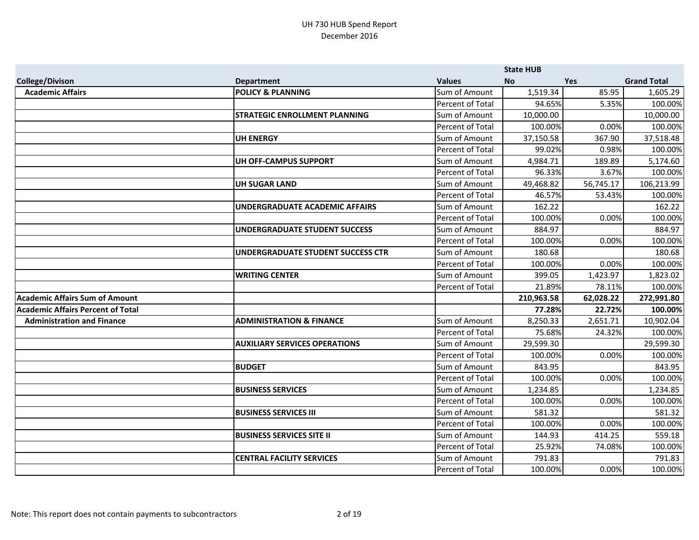|                                          |                                      |                         | <b>State HUB</b> |            |                    |
|------------------------------------------|--------------------------------------|-------------------------|------------------|------------|--------------------|
| <b>College/Divison</b>                   | <b>Department</b>                    | <b>Values</b>           | <b>No</b>        | <b>Yes</b> | <b>Grand Total</b> |
| <b>Academic Affairs</b>                  | <b>POLICY &amp; PLANNING</b>         | Sum of Amount           | 1,519.34         | 85.95      | 1,605.29           |
|                                          |                                      | Percent of Total        | 94.65%           | 5.35%      | 100.00%            |
|                                          | <b>STRATEGIC ENROLLMENT PLANNING</b> | Sum of Amount           | 10,000.00        |            | 10,000.00          |
|                                          |                                      | Percent of Total        | 100.00%          | 0.00%      | 100.00%            |
|                                          | <b>UH ENERGY</b>                     | Sum of Amount           | 37,150.58        | 367.90     | 37,518.48          |
|                                          |                                      | Percent of Total        | 99.02%           | 0.98%      | 100.00%            |
|                                          | UH OFF-CAMPUS SUPPORT                | Sum of Amount           | 4,984.71         | 189.89     | 5,174.60           |
|                                          |                                      | Percent of Total        | 96.33%           | 3.67%      | 100.00%            |
|                                          | <b>UH SUGAR LAND</b>                 | Sum of Amount           | 49,468.82        | 56,745.17  | 106,213.99         |
|                                          |                                      | <b>Percent of Total</b> | 46.57%           | 53.43%     | 100.00%            |
|                                          | UNDERGRADUATE ACADEMIC AFFAIRS       | Sum of Amount           | 162.22           |            | 162.22             |
|                                          |                                      | Percent of Total        | 100.00%          | 0.00%      | 100.00%            |
|                                          | UNDERGRADUATE STUDENT SUCCESS        | Sum of Amount           | 884.97           |            | 884.97             |
|                                          |                                      | Percent of Total        | 100.00%          | 0.00%      | 100.00%            |
|                                          | UNDERGRADUATE STUDENT SUCCESS CTR    | Sum of Amount           | 180.68           |            | 180.68             |
|                                          |                                      | Percent of Total        | 100.00%          | 0.00%      | 100.00%            |
|                                          | <b>WRITING CENTER</b>                | Sum of Amount           | 399.05           | 1,423.97   | 1,823.02           |
|                                          |                                      | Percent of Total        | 21.89%           | 78.11%     | 100.00%            |
| <b>Academic Affairs Sum of Amount</b>    |                                      |                         | 210,963.58       | 62,028.22  | 272,991.80         |
| <b>Academic Affairs Percent of Total</b> |                                      |                         | 77.28%           | 22.72%     | 100.00%            |
| <b>Administration and Finance</b>        | <b>ADMINISTRATION &amp; FINANCE</b>  | Sum of Amount           | 8,250.33         | 2,651.71   | 10,902.04          |
|                                          |                                      | <b>Percent of Total</b> | 75.68%           | 24.32%     | 100.00%            |
|                                          | <b>AUXILIARY SERVICES OPERATIONS</b> | Sum of Amount           | 29,599.30        |            | 29,599.30          |
|                                          |                                      | Percent of Total        | 100.00%          | 0.00%      | 100.00%            |
|                                          | <b>BUDGET</b>                        | Sum of Amount           | 843.95           |            | 843.95             |
|                                          |                                      | Percent of Total        | 100.00%          | 0.00%      | 100.00%            |
|                                          | <b>BUSINESS SERVICES</b>             | Sum of Amount           | 1,234.85         |            | 1,234.85           |
|                                          |                                      | Percent of Total        | 100.00%          | 0.00%      | 100.00%            |
|                                          | <b>BUSINESS SERVICES III</b>         | Sum of Amount           | 581.32           |            | 581.32             |
|                                          |                                      | Percent of Total        | 100.00%          | 0.00%      | 100.00%            |
|                                          | <b>BUSINESS SERVICES SITE II</b>     | Sum of Amount           | 144.93           | 414.25     | 559.18             |
|                                          |                                      | Percent of Total        | 25.92%           | 74.08%     | 100.00%            |
|                                          | <b>CENTRAL FACILITY SERVICES</b>     | Sum of Amount           | 791.83           |            | 791.83             |
|                                          |                                      | Percent of Total        | 100.00%          | 0.00%      | 100.00%            |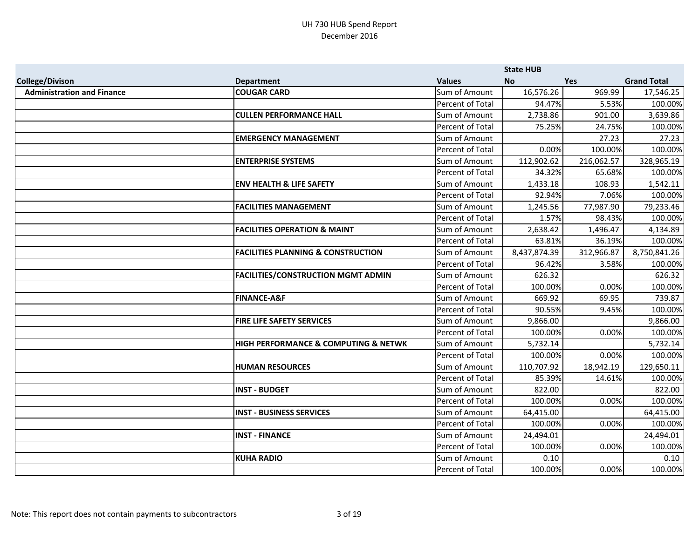|                                   |                                               |                  | <b>State HUB</b> |            |                    |
|-----------------------------------|-----------------------------------------------|------------------|------------------|------------|--------------------|
| <b>College/Divison</b>            | <b>Department</b>                             | <b>Values</b>    | <b>No</b>        | <b>Yes</b> | <b>Grand Total</b> |
| <b>Administration and Finance</b> | <b>COUGAR CARD</b>                            | Sum of Amount    | 16,576.26        | 969.99     | 17,546.25          |
|                                   |                                               | Percent of Total | 94.47%           | 5.53%      | 100.00%            |
|                                   | <b>CULLEN PERFORMANCE HALL</b>                | Sum of Amount    | 2,738.86         | 901.00     | 3,639.86           |
|                                   |                                               | Percent of Total | 75.25%           | 24.75%     | 100.00%            |
|                                   | <b>EMERGENCY MANAGEMENT</b>                   | Sum of Amount    |                  | 27.23      | 27.23              |
|                                   |                                               | Percent of Total | 0.00%            | 100.00%    | 100.00%            |
|                                   | <b>ENTERPRISE SYSTEMS</b>                     | Sum of Amount    | 112,902.62       | 216,062.57 | 328,965.19         |
|                                   |                                               | Percent of Total | 34.32%           | 65.68%     | 100.00%            |
|                                   | <b>ENV HEALTH &amp; LIFE SAFETY</b>           | Sum of Amount    | 1,433.18         | 108.93     | 1,542.11           |
|                                   |                                               | Percent of Total | 92.94%           | 7.06%      | 100.00%            |
|                                   | <b>FACILITIES MANAGEMENT</b>                  | Sum of Amount    | 1,245.56         | 77,987.90  | 79,233.46          |
|                                   |                                               | Percent of Total | 1.57%            | 98.43%     | 100.00%            |
|                                   | <b>FACILITIES OPERATION &amp; MAINT</b>       | Sum of Amount    | 2,638.42         | 1,496.47   | 4,134.89           |
|                                   |                                               | Percent of Total | 63.81%           | 36.19%     | 100.00%            |
|                                   | <b>FACILITIES PLANNING &amp; CONSTRUCTION</b> | Sum of Amount    | 8,437,874.39     | 312,966.87 | 8,750,841.26       |
|                                   |                                               | Percent of Total | 96.42%           | 3.58%      | 100.00%            |
|                                   | <b>FACILITIES/CONSTRUCTION MGMT ADMIN</b>     | Sum of Amount    | 626.32           |            | 626.32             |
|                                   |                                               | Percent of Total | 100.00%          | 0.00%      | 100.00%            |
|                                   | <b>FINANCE-A&amp;F</b>                        | Sum of Amount    | 669.92           | 69.95      | 739.87             |
|                                   |                                               | Percent of Total | 90.55%           | 9.45%      | 100.00%            |
|                                   | <b>FIRE LIFE SAFETY SERVICES</b>              | Sum of Amount    | 9,866.00         |            | 9,866.00           |
|                                   |                                               | Percent of Total | 100.00%          | 0.00%      | 100.00%            |
|                                   | HIGH PERFORMANCE & COMPUTING & NETWK          | Sum of Amount    | 5,732.14         |            | 5,732.14           |
|                                   |                                               | Percent of Total | 100.00%          | 0.00%      | 100.00%            |
|                                   | <b>HUMAN RESOURCES</b>                        | Sum of Amount    | 110,707.92       | 18,942.19  | 129,650.11         |
|                                   |                                               | Percent of Total | 85.39%           | 14.61%     | 100.00%            |
|                                   | <b>INST - BUDGET</b>                          | Sum of Amount    | 822.00           |            | 822.00             |
|                                   |                                               | Percent of Total | 100.00%          | 0.00%      | 100.00%            |
|                                   | <b>INST - BUSINESS SERVICES</b>               | Sum of Amount    | 64,415.00        |            | 64,415.00          |
|                                   |                                               | Percent of Total | 100.00%          | 0.00%      | 100.00%            |
|                                   | <b>INST - FINANCE</b>                         | Sum of Amount    | 24,494.01        |            | 24,494.01          |
|                                   |                                               | Percent of Total | 100.00%          | 0.00%      | 100.00%            |
|                                   | <b>KUHA RADIO</b>                             | Sum of Amount    | 0.10             |            | 0.10               |
|                                   |                                               | Percent of Total | 100.00%          | 0.00%      | 100.00%            |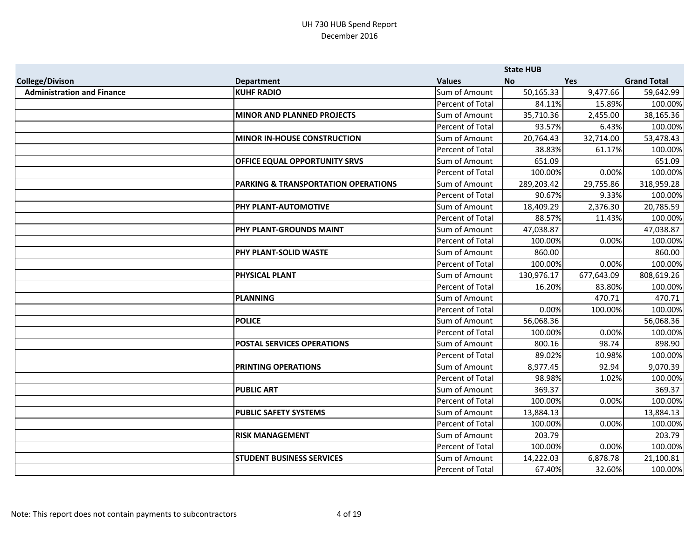|                                   |                                     |                  | <b>State HUB</b> |            |                    |
|-----------------------------------|-------------------------------------|------------------|------------------|------------|--------------------|
| <b>College/Divison</b>            | <b>Department</b>                   | <b>Values</b>    | <b>No</b>        | <b>Yes</b> | <b>Grand Total</b> |
| <b>Administration and Finance</b> | <b>KUHF RADIO</b>                   | Sum of Amount    | 50,165.33        | 9,477.66   | 59,642.99          |
|                                   |                                     | Percent of Total | 84.11%           | 15.89%     | 100.00%            |
|                                   | <b>MINOR AND PLANNED PROJECTS</b>   | Sum of Amount    | 35,710.36        | 2,455.00   | 38,165.36          |
|                                   |                                     | Percent of Total | 93.57%           | 6.43%      | 100.00%            |
|                                   | <b>MINOR IN-HOUSE CONSTRUCTION</b>  | Sum of Amount    | 20,764.43        | 32,714.00  | 53,478.43          |
|                                   |                                     | Percent of Total | 38.83%           | 61.17%     | 100.00%            |
|                                   | OFFICE EQUAL OPPORTUNITY SRVS       | Sum of Amount    | 651.09           |            | 651.09             |
|                                   |                                     | Percent of Total | 100.00%          | 0.00%      | 100.00%            |
|                                   | PARKING & TRANSPORTATION OPERATIONS | Sum of Amount    | 289,203.42       | 29,755.86  | 318,959.28         |
|                                   |                                     | Percent of Total | 90.67%           | 9.33%      | 100.00%            |
|                                   | PHY PLANT-AUTOMOTIVE                | Sum of Amount    | 18,409.29        | 2,376.30   | 20,785.59          |
|                                   |                                     | Percent of Total | 88.57%           | 11.43%     | 100.00%            |
|                                   | PHY PLANT-GROUNDS MAINT             | Sum of Amount    | 47,038.87        |            | 47,038.87          |
|                                   |                                     | Percent of Total | 100.00%          | 0.00%      | 100.00%            |
|                                   | PHY PLANT-SOLID WASTE               | Sum of Amount    | 860.00           |            | 860.00             |
|                                   |                                     | Percent of Total | 100.00%          | 0.00%      | 100.00%            |
|                                   | PHYSICAL PLANT                      | Sum of Amount    | 130,976.17       | 677,643.09 | 808,619.26         |
|                                   |                                     | Percent of Total | 16.20%           | 83.80%     | 100.00%            |
|                                   | <b>PLANNING</b>                     | Sum of Amount    |                  | 470.71     | 470.71             |
|                                   |                                     | Percent of Total | 0.00%            | 100.00%    | 100.00%            |
|                                   | <b>POLICE</b>                       | Sum of Amount    | 56,068.36        |            | 56,068.36          |
|                                   |                                     | Percent of Total | 100.00%          | 0.00%      | 100.00%            |
|                                   | <b>POSTAL SERVICES OPERATIONS</b>   | Sum of Amount    | 800.16           | 98.74      | 898.90             |
|                                   |                                     | Percent of Total | 89.02%           | 10.98%     | 100.00%            |
|                                   | <b>PRINTING OPERATIONS</b>          | Sum of Amount    | 8,977.45         | 92.94      | 9,070.39           |
|                                   |                                     | Percent of Total | 98.98%           | 1.02%      | 100.00%            |
|                                   | <b>PUBLIC ART</b>                   | Sum of Amount    | 369.37           |            | 369.37             |
|                                   |                                     | Percent of Total | 100.00%          | 0.00%      | 100.00%            |
|                                   | <b>PUBLIC SAFETY SYSTEMS</b>        | Sum of Amount    | 13,884.13        |            | 13,884.13          |
|                                   |                                     | Percent of Total | 100.00%          | 0.00%      | 100.00%            |
|                                   | <b>RISK MANAGEMENT</b>              | Sum of Amount    | 203.79           |            | 203.79             |
|                                   |                                     | Percent of Total | 100.00%          | 0.00%      | 100.00%            |
|                                   | <b>STUDENT BUSINESS SERVICES</b>    | Sum of Amount    | 14,222.03        | 6,878.78   | 21,100.81          |
|                                   |                                     | Percent of Total | 67.40%           | 32.60%     | 100.00%            |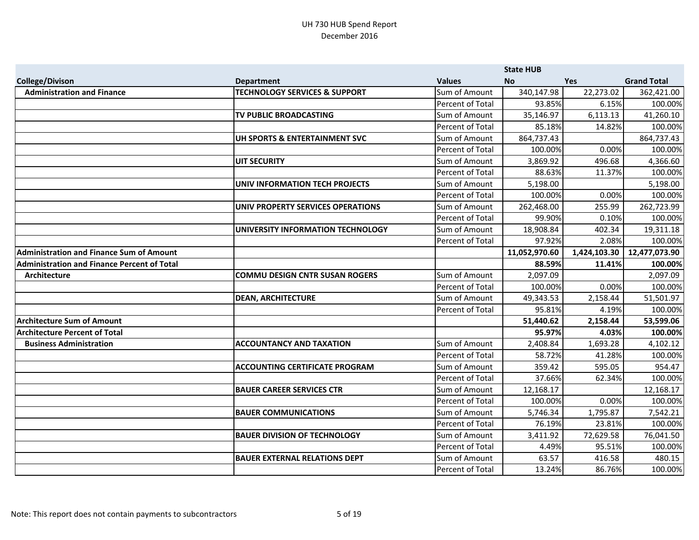|                                                    |                                          |                  | <b>State HUB</b> |              |                    |
|----------------------------------------------------|------------------------------------------|------------------|------------------|--------------|--------------------|
| <b>College/Divison</b>                             | <b>Department</b>                        | <b>Values</b>    | <b>No</b>        | <b>Yes</b>   | <b>Grand Total</b> |
| <b>Administration and Finance</b>                  | <b>TECHNOLOGY SERVICES &amp; SUPPORT</b> | Sum of Amount    | 340,147.98       | 22,273.02    | 362,421.00         |
|                                                    |                                          | Percent of Total | 93.85%           | 6.15%        | 100.00%            |
|                                                    | TV PUBLIC BROADCASTING                   | Sum of Amount    | 35,146.97        | 6,113.13     | 41,260.10          |
|                                                    |                                          | Percent of Total | 85.18%           | 14.82%       | 100.00%            |
|                                                    | UH SPORTS & ENTERTAINMENT SVC            | Sum of Amount    | 864,737.43       |              | 864,737.43         |
|                                                    |                                          | Percent of Total | 100.00%          | 0.00%        | 100.00%            |
|                                                    | <b>UIT SECURITY</b>                      | Sum of Amount    | 3,869.92         | 496.68       | 4,366.60           |
|                                                    |                                          | Percent of Total | 88.63%           | 11.37%       | 100.00%            |
|                                                    | <b>UNIV INFORMATION TECH PROJECTS</b>    | Sum of Amount    | 5,198.00         |              | 5,198.00           |
|                                                    |                                          | Percent of Total | 100.00%          | 0.00%        | 100.00%            |
|                                                    | UNIV PROPERTY SERVICES OPERATIONS        | Sum of Amount    | 262,468.00       | 255.99       | 262,723.99         |
|                                                    |                                          | Percent of Total | 99.90%           | 0.10%        | 100.00%            |
|                                                    | UNIVERSITY INFORMATION TECHNOLOGY        | Sum of Amount    | 18,908.84        | 402.34       | 19,311.18          |
|                                                    |                                          | Percent of Total | 97.92%           | 2.08%        | 100.00%            |
| <b>Administration and Finance Sum of Amount</b>    |                                          |                  | 11,052,970.60    | 1,424,103.30 | 12,477,073.90      |
| <b>Administration and Finance Percent of Total</b> |                                          |                  | 88.59%           | 11.41%       | 100.00%            |
| <b>Architecture</b>                                | <b>COMMU DESIGN CNTR SUSAN ROGERS</b>    | Sum of Amount    | 2,097.09         |              | 2,097.09           |
|                                                    |                                          | Percent of Total | 100.00%          | 0.00%        | 100.00%            |
|                                                    | <b>DEAN, ARCHITECTURE</b>                | Sum of Amount    | 49,343.53        | 2,158.44     | 51,501.97          |
|                                                    |                                          | Percent of Total | 95.81%           | 4.19%        | 100.00%            |
| <b>Architecture Sum of Amount</b>                  |                                          |                  | 51,440.62        | 2,158.44     | 53,599.06          |
| <b>Architecture Percent of Total</b>               |                                          |                  | 95.97%           | 4.03%        | 100.00%            |
| <b>Business Administration</b>                     | <b>ACCOUNTANCY AND TAXATION</b>          | Sum of Amount    | 2,408.84         | 1,693.28     | 4,102.12           |
|                                                    |                                          | Percent of Total | 58.72%           | 41.28%       | 100.00%            |
|                                                    | <b>ACCOUNTING CERTIFICATE PROGRAM</b>    | Sum of Amount    | 359.42           | 595.05       | 954.47             |
|                                                    |                                          | Percent of Total | 37.66%           | 62.34%       | 100.00%            |
|                                                    | <b>BAUER CAREER SERVICES CTR</b>         | Sum of Amount    | 12,168.17        |              | 12,168.17          |
|                                                    |                                          | Percent of Total | 100.00%          | 0.00%        | 100.00%            |
|                                                    | <b>BAUER COMMUNICATIONS</b>              | Sum of Amount    | 5,746.34         | 1,795.87     | 7,542.21           |
|                                                    |                                          | Percent of Total | 76.19%           | 23.81%       | 100.00%            |
|                                                    | <b>BAUER DIVISION OF TECHNOLOGY</b>      | Sum of Amount    | 3,411.92         | 72,629.58    | 76,041.50          |
|                                                    |                                          | Percent of Total | 4.49%            | 95.51%       | 100.00%            |
|                                                    | <b>BAUER EXTERNAL RELATIONS DEPT</b>     | Sum of Amount    | 63.57            | 416.58       | 480.15             |
|                                                    |                                          | Percent of Total | 13.24%           | 86.76%       | 100.00%            |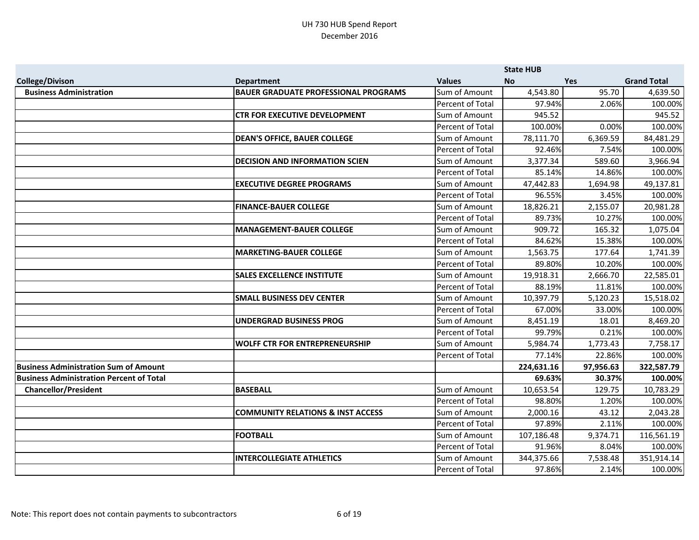|                                                 |                                              |                         | <b>State HUB</b> |            |                    |
|-------------------------------------------------|----------------------------------------------|-------------------------|------------------|------------|--------------------|
| <b>College/Divison</b>                          | <b>Department</b>                            | <b>Values</b>           | <b>No</b>        | <b>Yes</b> | <b>Grand Total</b> |
| <b>Business Administration</b>                  | <b>BAUER GRADUATE PROFESSIONAL PROGRAMS</b>  | Sum of Amount           | 4,543.80         | 95.70      | 4,639.50           |
|                                                 |                                              | Percent of Total        | 97.94%           | 2.06%      | 100.00%            |
|                                                 | <b>CTR FOR EXECUTIVE DEVELOPMENT</b>         | Sum of Amount           | 945.52           |            | 945.52             |
|                                                 |                                              | Percent of Total        | 100.00%          | 0.00%      | 100.00%            |
|                                                 | <b>DEAN'S OFFICE, BAUER COLLEGE</b>          | Sum of Amount           | 78,111.70        | 6,369.59   | 84,481.29          |
|                                                 |                                              | <b>Percent of Total</b> | 92.46%           | 7.54%      | 100.00%            |
|                                                 | <b>DECISION AND INFORMATION SCIEN</b>        | Sum of Amount           | 3,377.34         | 589.60     | 3,966.94           |
|                                                 |                                              | Percent of Total        | 85.14%           | 14.86%     | 100.00%            |
|                                                 | <b>EXECUTIVE DEGREE PROGRAMS</b>             | Sum of Amount           | 47,442.83        | 1,694.98   | 49,137.81          |
|                                                 |                                              | Percent of Total        | 96.55%           | 3.45%      | 100.00%            |
|                                                 | <b>FINANCE-BAUER COLLEGE</b>                 | Sum of Amount           | 18,826.21        | 2,155.07   | 20,981.28          |
|                                                 |                                              | Percent of Total        | 89.73%           | 10.27%     | 100.00%            |
|                                                 | <b>MANAGEMENT-BAUER COLLEGE</b>              | Sum of Amount           | 909.72           | 165.32     | 1,075.04           |
|                                                 |                                              | Percent of Total        | 84.62%           | 15.38%     | 100.00%            |
|                                                 | <b>MARKETING-BAUER COLLEGE</b>               | Sum of Amount           | 1,563.75         | 177.64     | 1,741.39           |
|                                                 |                                              | Percent of Total        | 89.80%           | 10.20%     | 100.00%            |
|                                                 | <b>SALES EXCELLENCE INSTITUTE</b>            | Sum of Amount           | 19,918.31        | 2,666.70   | 22,585.01          |
|                                                 |                                              | Percent of Total        | 88.19%           | 11.81%     | 100.00%            |
|                                                 | <b>SMALL BUSINESS DEV CENTER</b>             | Sum of Amount           | 10,397.79        | 5,120.23   | 15,518.02          |
|                                                 |                                              | Percent of Total        | 67.00%           | 33.00%     | 100.00%            |
|                                                 | <b>UNDERGRAD BUSINESS PROG</b>               | Sum of Amount           | 8,451.19         | 18.01      | 8,469.20           |
|                                                 |                                              | Percent of Total        | 99.79%           | 0.21%      | 100.00%            |
|                                                 | <b>WOLFF CTR FOR ENTREPRENEURSHIP</b>        | Sum of Amount           | 5,984.74         | 1,773.43   | 7,758.17           |
|                                                 |                                              | Percent of Total        | 77.14%           | 22.86%     | 100.00%            |
| <b>Business Administration Sum of Amount</b>    |                                              |                         | 224,631.16       | 97,956.63  | 322,587.79         |
| <b>Business Administration Percent of Total</b> |                                              |                         | 69.63%           | 30.37%     | 100.00%            |
| <b>Chancellor/President</b>                     | <b>BASEBALL</b>                              | Sum of Amount           | 10,653.54        | 129.75     | 10,783.29          |
|                                                 |                                              | Percent of Total        | 98.80%           | 1.20%      | 100.00%            |
|                                                 | <b>COMMUNITY RELATIONS &amp; INST ACCESS</b> | Sum of Amount           | 2,000.16         | 43.12      | 2,043.28           |
|                                                 |                                              | Percent of Total        | 97.89%           | 2.11%      | 100.00%            |
|                                                 | <b>FOOTBALL</b>                              | Sum of Amount           | 107,186.48       | 9,374.71   | 116,561.19         |
|                                                 |                                              | Percent of Total        | 91.96%           | 8.04%      | 100.00%            |
|                                                 | <b>INTERCOLLEGIATE ATHLETICS</b>             | Sum of Amount           | 344,375.66       | 7,538.48   | 351,914.14         |
|                                                 |                                              | Percent of Total        | 97.86%           | 2.14%      | 100.00%            |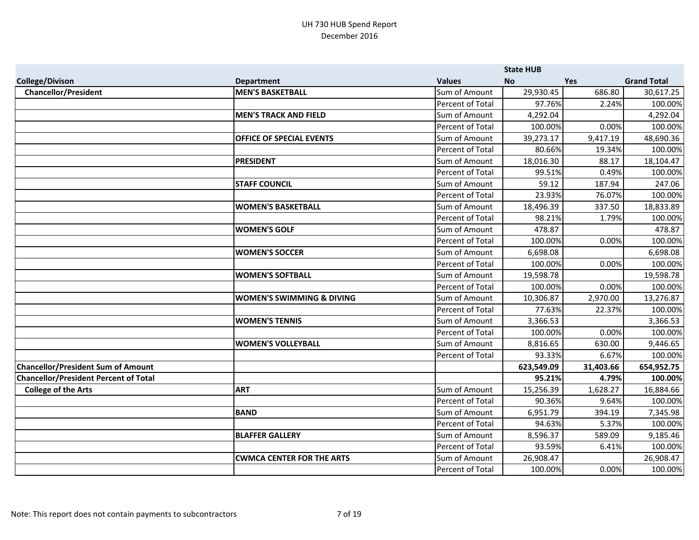|                                              |                                      |                         | <b>State HUB</b> |            |                    |
|----------------------------------------------|--------------------------------------|-------------------------|------------------|------------|--------------------|
| <b>College/Divison</b>                       | <b>Department</b>                    | <b>Values</b>           | <b>No</b>        | <b>Yes</b> | <b>Grand Total</b> |
| <b>Chancellor/President</b>                  | <b>MEN'S BASKETBALL</b>              | Sum of Amount           | 29,930.45        | 686.80     | 30,617.25          |
|                                              |                                      | Percent of Total        | 97.76%           | 2.24%      | 100.00%            |
|                                              | <b>MEN'S TRACK AND FIELD</b>         | Sum of Amount           | 4,292.04         |            | 4,292.04           |
|                                              |                                      | Percent of Total        | 100.00%          | 0.00%      | 100.00%            |
|                                              | OFFICE OF SPECIAL EVENTS             | Sum of Amount           | 39,273.17        | 9,417.19   | 48,690.36          |
|                                              |                                      | Percent of Total        | 80.66%           | 19.34%     | 100.00%            |
|                                              | <b>PRESIDENT</b>                     | Sum of Amount           | 18,016.30        | 88.17      | 18,104.47          |
|                                              |                                      | Percent of Total        | 99.51%           | 0.49%      | 100.00%            |
|                                              | <b>STAFF COUNCIL</b>                 | Sum of Amount           | 59.12            | 187.94     | 247.06             |
|                                              |                                      | Percent of Total        | 23.93%           | 76.07%     | 100.00%            |
|                                              | <b>WOMEN'S BASKETBALL</b>            | Sum of Amount           | 18,496.39        | 337.50     | 18,833.89          |
|                                              |                                      | Percent of Total        | 98.21%           | 1.79%      | 100.00%            |
|                                              | <b>WOMEN'S GOLF</b>                  | Sum of Amount           | 478.87           |            | 478.87             |
|                                              |                                      | Percent of Total        | 100.00%          | 0.00%      | 100.00%            |
|                                              | <b>WOMEN'S SOCCER</b>                | Sum of Amount           | 6,698.08         |            | 6,698.08           |
|                                              |                                      | Percent of Total        | 100.00%          | 0.00%      | 100.00%            |
|                                              | <b>WOMEN'S SOFTBALL</b>              | Sum of Amount           | 19,598.78        |            | 19,598.78          |
|                                              |                                      | Percent of Total        | 100.00%          | 0.00%      | 100.00%            |
|                                              | <b>WOMEN'S SWIMMING &amp; DIVING</b> | Sum of Amount           | 10,306.87        | 2,970.00   | 13,276.87          |
|                                              |                                      | Percent of Total        | 77.63%           | 22.37%     | 100.00%            |
|                                              | <b>WOMEN'S TENNIS</b>                | Sum of Amount           | 3,366.53         |            | 3,366.53           |
|                                              |                                      | Percent of Total        | 100.00%          | 0.00%      | 100.00%            |
|                                              | <b>WOMEN'S VOLLEYBALL</b>            | Sum of Amount           | 8,816.65         | 630.00     | 9,446.65           |
|                                              |                                      | Percent of Total        | 93.33%           | 6.67%      | 100.00%            |
| <b>Chancellor/President Sum of Amount</b>    |                                      |                         | 623,549.09       | 31,403.66  | 654,952.75         |
| <b>Chancellor/President Percent of Total</b> |                                      |                         | 95.21%           | 4.79%      | 100.00%            |
| <b>College of the Arts</b>                   | <b>ART</b>                           | Sum of Amount           | 15,256.39        | 1,628.27   | 16,884.66          |
|                                              |                                      | <b>Percent of Total</b> | 90.36%           | 9.64%      | 100.00%            |
|                                              | <b>BAND</b>                          | Sum of Amount           | 6,951.79         | 394.19     | 7,345.98           |
|                                              |                                      | Percent of Total        | 94.63%           | 5.37%      | 100.00%            |
|                                              | <b>BLAFFER GALLERY</b>               | Sum of Amount           | 8,596.37         | 589.09     | 9,185.46           |
|                                              |                                      | Percent of Total        | 93.59%           | 6.41%      | 100.00%            |
|                                              | <b>CWMCA CENTER FOR THE ARTS</b>     | Sum of Amount           | 26,908.47        |            | 26,908.47          |
|                                              |                                      | Percent of Total        | 100.00%          | 0.00%      | 100.00%            |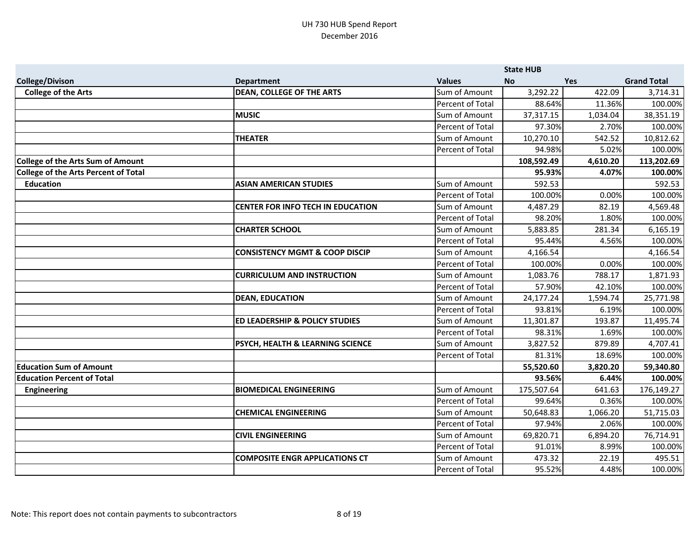|                                             |                                           |                         | <b>State HUB</b> |            |                    |
|---------------------------------------------|-------------------------------------------|-------------------------|------------------|------------|--------------------|
| <b>College/Divison</b>                      | <b>Department</b>                         | <b>Values</b>           | <b>No</b>        | <b>Yes</b> | <b>Grand Total</b> |
| <b>College of the Arts</b>                  | <b>DEAN, COLLEGE OF THE ARTS</b>          | Sum of Amount           | 3,292.22         | 422.09     | 3,714.31           |
|                                             |                                           | Percent of Total        | 88.64%           | 11.36%     | 100.00%            |
|                                             | <b>MUSIC</b>                              | Sum of Amount           | 37,317.15        | 1,034.04   | 38,351.19          |
|                                             |                                           | Percent of Total        | 97.30%           | 2.70%      | 100.00%            |
|                                             | <b>THEATER</b>                            | Sum of Amount           | 10,270.10        | 542.52     | 10,812.62          |
|                                             |                                           | Percent of Total        | 94.98%           | 5.02%      | 100.00%            |
| <b>College of the Arts Sum of Amount</b>    |                                           |                         | 108,592.49       | 4,610.20   | 113,202.69         |
| <b>College of the Arts Percent of Total</b> |                                           |                         | 95.93%           | 4.07%      | 100.00%            |
| <b>Education</b>                            | <b>ASIAN AMERICAN STUDIES</b>             | Sum of Amount           | 592.53           |            | 592.53             |
|                                             |                                           | Percent of Total        | 100.00%          | 0.00%      | 100.00%            |
|                                             | <b>CENTER FOR INFO TECH IN EDUCATION</b>  | Sum of Amount           | 4,487.29         | 82.19      | 4,569.48           |
|                                             |                                           | Percent of Total        | 98.20%           | 1.80%      | 100.00%            |
|                                             | <b>CHARTER SCHOOL</b>                     | Sum of Amount           | 5,883.85         | 281.34     | 6,165.19           |
|                                             |                                           | Percent of Total        | 95.44%           | 4.56%      | 100.00%            |
|                                             | <b>CONSISTENCY MGMT &amp; COOP DISCIP</b> | Sum of Amount           | 4,166.54         |            | 4,166.54           |
|                                             |                                           | Percent of Total        | 100.00%          | 0.00%      | 100.00%            |
|                                             | <b>CURRICULUM AND INSTRUCTION</b>         | Sum of Amount           | 1,083.76         | 788.17     | 1,871.93           |
|                                             |                                           | <b>Percent of Total</b> | 57.90%           | 42.10%     | 100.00%            |
|                                             | <b>DEAN, EDUCATION</b>                    | Sum of Amount           | 24,177.24        | 1,594.74   | 25,771.98          |
|                                             |                                           | Percent of Total        | 93.81%           | 6.19%      | 100.00%            |
|                                             | <b>ED LEADERSHIP &amp; POLICY STUDIES</b> | Sum of Amount           | 11,301.87        | 193.87     | 11,495.74          |
|                                             |                                           | Percent of Total        | 98.31%           | 1.69%      | 100.00%            |
|                                             | PSYCH, HEALTH & LEARNING SCIENCE          | Sum of Amount           | 3,827.52         | 879.89     | 4,707.41           |
|                                             |                                           | Percent of Total        | 81.31%           | 18.69%     | 100.00%            |
| <b>Education Sum of Amount</b>              |                                           |                         | 55,520.60        | 3,820.20   | 59,340.80          |
| <b>Education Percent of Total</b>           |                                           |                         | 93.56%           | 6.44%      | 100.00%            |
| <b>Engineering</b>                          | <b>BIOMEDICAL ENGINEERING</b>             | Sum of Amount           | 175,507.64       | 641.63     | 176,149.27         |
|                                             |                                           | Percent of Total        | 99.64%           | 0.36%      | 100.00%            |
|                                             | <b>CHEMICAL ENGINEERING</b>               | Sum of Amount           | 50,648.83        | 1,066.20   | 51,715.03          |
|                                             |                                           | <b>Percent of Total</b> | 97.94%           | 2.06%      | 100.00%            |
|                                             | <b>CIVIL ENGINEERING</b>                  | Sum of Amount           | 69,820.71        | 6,894.20   | 76,714.91          |
|                                             |                                           | Percent of Total        | 91.01%           | 8.99%      | 100.00%            |
|                                             | <b>COMPOSITE ENGR APPLICATIONS CT</b>     | Sum of Amount           | 473.32           | 22.19      | 495.51             |
|                                             |                                           | Percent of Total        | 95.52%           | 4.48%      | 100.00%            |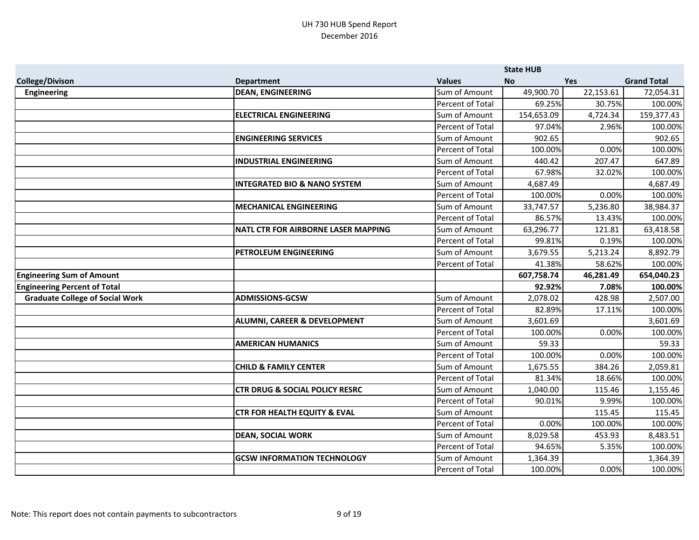|                                        |                                            |                  | <b>State HUB</b> |            |                    |
|----------------------------------------|--------------------------------------------|------------------|------------------|------------|--------------------|
| <b>College/Divison</b>                 | <b>Department</b>                          | <b>Values</b>    | <b>No</b>        | <b>Yes</b> | <b>Grand Total</b> |
| Engineering                            | <b>DEAN, ENGINEERING</b>                   | Sum of Amount    | 49,900.70        | 22,153.61  | 72,054.31          |
|                                        |                                            | Percent of Total | 69.25%           | 30.75%     | 100.00%            |
|                                        | <b>ELECTRICAL ENGINEERING</b>              | Sum of Amount    | 154,653.09       | 4,724.34   | 159,377.43         |
|                                        |                                            | Percent of Total | 97.04%           | 2.96%      | 100.00%            |
|                                        | <b>ENGINEERING SERVICES</b>                | Sum of Amount    | 902.65           |            | 902.65             |
|                                        |                                            | Percent of Total | 100.00%          | 0.00%      | 100.00%            |
|                                        | <b>INDUSTRIAL ENGINEERING</b>              | Sum of Amount    | 440.42           | 207.47     | 647.89             |
|                                        |                                            | Percent of Total | 67.98%           | 32.02%     | 100.00%            |
|                                        | <b>INTEGRATED BIO &amp; NANO SYSTEM</b>    | Sum of Amount    | 4,687.49         |            | 4,687.49           |
|                                        |                                            | Percent of Total | 100.00%          | 0.00%      | 100.00%            |
|                                        | <b>MECHANICAL ENGINEERING</b>              | Sum of Amount    | 33,747.57        | 5,236.80   | 38,984.37          |
|                                        |                                            | Percent of Total | 86.57%           | 13.43%     | 100.00%            |
|                                        | <b>NATL CTR FOR AIRBORNE LASER MAPPING</b> | Sum of Amount    | 63,296.77        | 121.81     | 63,418.58          |
|                                        |                                            | Percent of Total | 99.81%           | 0.19%      | 100.00%            |
|                                        | <b>PETROLEUM ENGINEERING</b>               | Sum of Amount    | 3,679.55         | 5,213.24   | 8,892.79           |
|                                        |                                            | Percent of Total | 41.38%           | 58.62%     | 100.00%            |
| <b>Engineering Sum of Amount</b>       |                                            |                  | 607,758.74       | 46,281.49  | 654,040.23         |
| <b>Engineering Percent of Total</b>    |                                            |                  | 92.92%           | 7.08%      | 100.00%            |
| <b>Graduate College of Social Work</b> | <b>ADMISSIONS-GCSW</b>                     | Sum of Amount    | 2,078.02         | 428.98     | 2,507.00           |
|                                        |                                            | Percent of Total | 82.89%           | 17.11%     | 100.00%            |
|                                        | <b>ALUMNI, CAREER &amp; DEVELOPMENT</b>    | Sum of Amount    | 3,601.69         |            | 3,601.69           |
|                                        |                                            | Percent of Total | 100.00%          | 0.00%      | 100.00%            |
|                                        | <b>AMERICAN HUMANICS</b>                   | Sum of Amount    | 59.33            |            | 59.33              |
|                                        |                                            | Percent of Total | 100.00%          | 0.00%      | 100.00%            |
|                                        | <b>CHILD &amp; FAMILY CENTER</b>           | Sum of Amount    | 1,675.55         | 384.26     | 2,059.81           |
|                                        |                                            | Percent of Total | 81.34%           | 18.66%     | 100.00%            |
|                                        | <b>CTR DRUG &amp; SOCIAL POLICY RESRC</b>  | Sum of Amount    | 1,040.00         | 115.46     | 1,155.46           |
|                                        |                                            | Percent of Total | 90.01%           | 9.99%      | 100.00%            |
|                                        | <b>CTR FOR HEALTH EQUITY &amp; EVAL</b>    | Sum of Amount    |                  | 115.45     | 115.45             |
|                                        |                                            | Percent of Total | 0.00%            | 100.00%    | 100.00%            |
|                                        | <b>DEAN, SOCIAL WORK</b>                   | Sum of Amount    | 8,029.58         | 453.93     | 8,483.51           |
|                                        |                                            | Percent of Total | 94.65%           | 5.35%      | 100.00%            |
|                                        | <b>GCSW INFORMATION TECHNOLOGY</b>         | Sum of Amount    | 1,364.39         |            | 1,364.39           |
|                                        |                                            | Percent of Total | 100.00%          | 0.00%      | 100.00%            |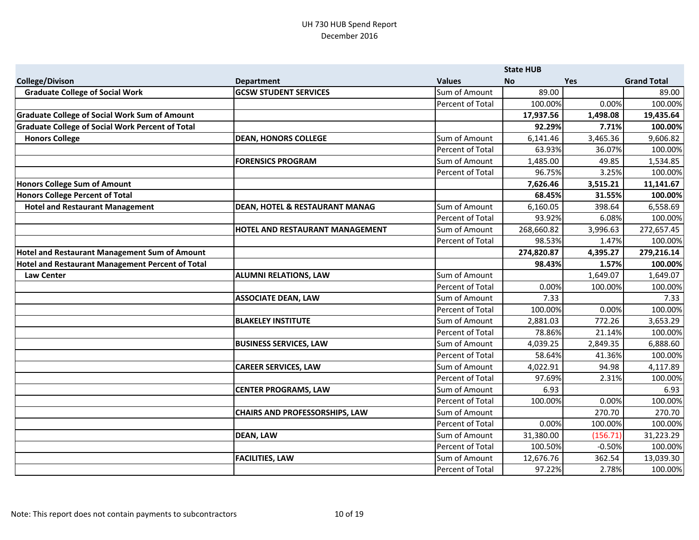|                                                         |                                           |                  | <b>State HUB</b> |          |                    |
|---------------------------------------------------------|-------------------------------------------|------------------|------------------|----------|--------------------|
| <b>College/Divison</b>                                  | <b>Department</b>                         | <b>Values</b>    | <b>No</b>        | Yes      | <b>Grand Total</b> |
| <b>Graduate College of Social Work</b>                  | <b>GCSW STUDENT SERVICES</b>              | Sum of Amount    | 89.00            |          | 89.00              |
|                                                         |                                           | Percent of Total | 100.00%          | 0.00%    | 100.00%            |
| <b>Graduate College of Social Work Sum of Amount</b>    |                                           |                  | 17,937.56        | 1,498.08 | 19,435.64          |
| <b>Graduate College of Social Work Percent of Total</b> |                                           |                  | 92.29%           | 7.71%    | 100.00%            |
| <b>Honors College</b>                                   | <b>DEAN, HONORS COLLEGE</b>               | Sum of Amount    | 6,141.46         | 3,465.36 | 9,606.82           |
|                                                         |                                           | Percent of Total | 63.93%           | 36.07%   | 100.00%            |
|                                                         | <b>FORENSICS PROGRAM</b>                  | Sum of Amount    | 1,485.00         | 49.85    | 1,534.85           |
|                                                         |                                           | Percent of Total | 96.75%           | 3.25%    | 100.00%            |
| Honors College Sum of Amount                            |                                           |                  | 7,626.46         | 3,515.21 | 11,141.67          |
| <b>Honors College Percent of Total</b>                  |                                           |                  | 68.45%           | 31.55%   | 100.00%            |
| <b>Hotel and Restaurant Management</b>                  | <b>DEAN, HOTEL &amp; RESTAURANT MANAG</b> | Sum of Amount    | 6,160.05         | 398.64   | 6,558.69           |
|                                                         |                                           | Percent of Total | 93.92%           | 6.08%    | 100.00%            |
|                                                         | <b>HOTEL AND RESTAURANT MANAGEMENT</b>    | Sum of Amount    | 268,660.82       | 3,996.63 | 272,657.45         |
|                                                         |                                           | Percent of Total | 98.53%           | 1.47%    | 100.00%            |
| Hotel and Restaurant Management Sum of Amount           |                                           |                  | 274,820.87       | 4,395.27 | 279,216.14         |
| Hotel and Restaurant Management Percent of Total        |                                           |                  | 98.43%           | 1.57%    | 100.00%            |
| <b>Law Center</b>                                       | <b>ALUMNI RELATIONS, LAW</b>              | Sum of Amount    |                  | 1,649.07 | 1,649.07           |
|                                                         |                                           | Percent of Total | 0.00%            | 100.00%  | 100.00%            |
|                                                         | <b>ASSOCIATE DEAN, LAW</b>                | Sum of Amount    | 7.33             |          | 7.33               |
|                                                         |                                           | Percent of Total | 100.00%          | 0.00%    | 100.00%            |
|                                                         | <b>BLAKELEY INSTITUTE</b>                 | Sum of Amount    | 2,881.03         | 772.26   | 3,653.29           |
|                                                         |                                           | Percent of Total | 78.86%           | 21.14%   | 100.00%            |
|                                                         | <b>BUSINESS SERVICES, LAW</b>             | Sum of Amount    | 4,039.25         | 2,849.35 | 6,888.60           |
|                                                         |                                           | Percent of Total | 58.64%           | 41.36%   | 100.00%            |
|                                                         | <b>CAREER SERVICES, LAW</b>               | Sum of Amount    | 4,022.91         | 94.98    | 4,117.89           |
|                                                         |                                           | Percent of Total | 97.69%           | 2.31%    | 100.00%            |
|                                                         | <b>CENTER PROGRAMS, LAW</b>               | Sum of Amount    | 6.93             |          | 6.93               |
|                                                         |                                           | Percent of Total | 100.00%          | 0.00%    | 100.00%            |
|                                                         | <b>CHAIRS AND PROFESSORSHIPS, LAW</b>     | Sum of Amount    |                  | 270.70   | 270.70             |
|                                                         |                                           | Percent of Total | 0.00%            | 100.00%  | 100.00%            |
|                                                         | <b>DEAN, LAW</b>                          | Sum of Amount    | 31,380.00        | (156.71) | 31,223.29          |
|                                                         |                                           | Percent of Total | 100.50%          | $-0.50%$ | 100.00%            |
|                                                         | <b>FACILITIES, LAW</b>                    | Sum of Amount    | 12,676.76        | 362.54   | 13,039.30          |
|                                                         |                                           | Percent of Total | 97.22%           | 2.78%    | 100.00%            |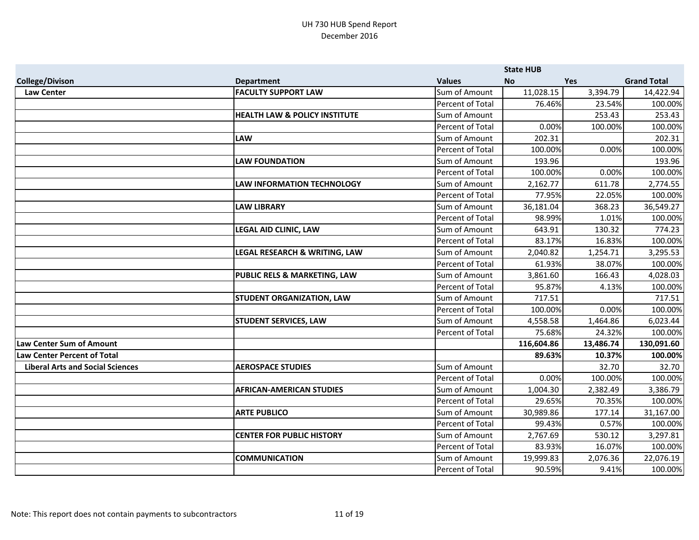|                                         |                                          |                  | <b>State HUB</b> |            |                    |
|-----------------------------------------|------------------------------------------|------------------|------------------|------------|--------------------|
| <b>College/Divison</b>                  | <b>Department</b>                        | <b>Values</b>    | <b>No</b>        | <b>Yes</b> | <b>Grand Total</b> |
| <b>Law Center</b>                       | <b>FACULTY SUPPORT LAW</b>               | Sum of Amount    | 11,028.15        | 3,394.79   | 14,422.94          |
|                                         |                                          | Percent of Total | 76.46%           | 23.54%     | 100.00%            |
|                                         | <b>HEALTH LAW &amp; POLICY INSTITUTE</b> | Sum of Amount    |                  | 253.43     | 253.43             |
|                                         |                                          | Percent of Total | 0.00%            | 100.00%    | 100.00%            |
|                                         | <b>LAW</b>                               | Sum of Amount    | 202.31           |            | 202.31             |
|                                         |                                          | Percent of Total | 100.00%          | 0.00%      | 100.00%            |
|                                         | <b>LAW FOUNDATION</b>                    | Sum of Amount    | 193.96           |            | 193.96             |
|                                         |                                          | Percent of Total | 100.00%          | 0.00%      | 100.00%            |
|                                         | <b>LAW INFORMATION TECHNOLOGY</b>        | Sum of Amount    | 2,162.77         | 611.78     | 2,774.55           |
|                                         |                                          | Percent of Total | 77.95%           | 22.05%     | 100.00%            |
|                                         | <b>LAW LIBRARY</b>                       | Sum of Amount    | 36,181.04        | 368.23     | 36,549.27          |
|                                         |                                          | Percent of Total | 98.99%           | 1.01%      | 100.00%            |
|                                         | <b>LEGAL AID CLINIC, LAW</b>             | Sum of Amount    | 643.91           | 130.32     | 774.23             |
|                                         |                                          | Percent of Total | 83.17%           | 16.83%     | 100.00%            |
|                                         | LEGAL RESEARCH & WRITING, LAW            | Sum of Amount    | 2,040.82         | 1,254.71   | 3,295.53           |
|                                         |                                          | Percent of Total | 61.93%           | 38.07%     | 100.00%            |
|                                         | PUBLIC RELS & MARKETING, LAW             | Sum of Amount    | 3,861.60         | 166.43     | 4,028.03           |
|                                         |                                          | Percent of Total | 95.87%           | 4.13%      | 100.00%            |
|                                         | <b>STUDENT ORGANIZATION, LAW</b>         | Sum of Amount    | 717.51           |            | 717.51             |
|                                         |                                          | Percent of Total | 100.00%          | 0.00%      | 100.00%            |
|                                         | <b>STUDENT SERVICES, LAW</b>             | Sum of Amount    | 4,558.58         | 1,464.86   | 6,023.44           |
|                                         |                                          | Percent of Total | 75.68%           | 24.32%     | 100.00%            |
| <b>Law Center Sum of Amount</b>         |                                          |                  | 116,604.86       | 13,486.74  | 130,091.60         |
| <b>Law Center Percent of Total</b>      |                                          |                  | 89.63%           | 10.37%     | 100.00%            |
| <b>Liberal Arts and Social Sciences</b> | <b>AEROSPACE STUDIES</b>                 | Sum of Amount    |                  | 32.70      | 32.70              |
|                                         |                                          | Percent of Total | 0.00%            | 100.00%    | 100.00%            |
|                                         | <b>AFRICAN-AMERICAN STUDIES</b>          | Sum of Amount    | 1,004.30         | 2,382.49   | 3,386.79           |
|                                         |                                          | Percent of Total | 29.65%           | 70.35%     | 100.00%            |
|                                         | <b>ARTE PUBLICO</b>                      | Sum of Amount    | 30,989.86        | 177.14     | 31,167.00          |
|                                         |                                          | Percent of Total | 99.43%           | 0.57%      | 100.00%            |
|                                         | <b>CENTER FOR PUBLIC HISTORY</b>         | Sum of Amount    | 2,767.69         | 530.12     | 3,297.81           |
|                                         |                                          | Percent of Total | 83.93%           | 16.07%     | 100.00%            |
|                                         | <b>COMMUNICATION</b>                     | Sum of Amount    | 19,999.83        | 2,076.36   | 22,076.19          |
|                                         |                                          | Percent of Total | 90.59%           | 9.41%      | 100.00%            |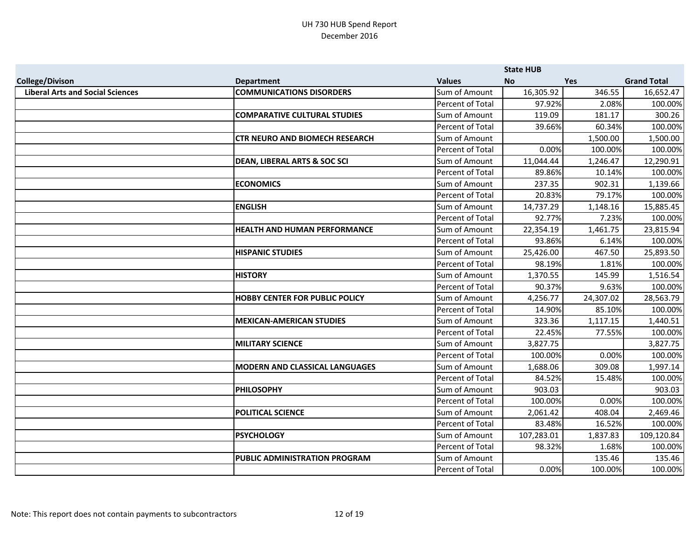|                                         |                                         |                         | <b>State HUB</b> |            |                    |
|-----------------------------------------|-----------------------------------------|-------------------------|------------------|------------|--------------------|
| <b>College/Divison</b>                  | <b>Department</b>                       | <b>Values</b>           | <b>No</b>        | <b>Yes</b> | <b>Grand Total</b> |
| <b>Liberal Arts and Social Sciences</b> | <b>COMMUNICATIONS DISORDERS</b>         | Sum of Amount           | 16,305.92        | 346.55     | 16,652.47          |
|                                         |                                         | Percent of Total        | 97.92%           | 2.08%      | 100.00%            |
|                                         | <b>COMPARATIVE CULTURAL STUDIES</b>     | Sum of Amount           | 119.09           | 181.17     | 300.26             |
|                                         |                                         | Percent of Total        | 39.66%           | 60.34%     | 100.00%            |
|                                         | <b>CTR NEURO AND BIOMECH RESEARCH</b>   | Sum of Amount           |                  | 1,500.00   | 1,500.00           |
|                                         |                                         | Percent of Total        | 0.00%            | 100.00%    | 100.00%            |
|                                         | <b>DEAN, LIBERAL ARTS &amp; SOC SCI</b> | Sum of Amount           | 11,044.44        | 1,246.47   | 12,290.91          |
|                                         |                                         | Percent of Total        | 89.86%           | 10.14%     | 100.00%            |
|                                         | <b>ECONOMICS</b>                        | Sum of Amount           | 237.35           | 902.31     | 1,139.66           |
|                                         |                                         | <b>Percent of Total</b> | 20.83%           | 79.17%     | 100.00%            |
|                                         | <b>ENGLISH</b>                          | Sum of Amount           | 14,737.29        | 1,148.16   | 15,885.45          |
|                                         |                                         | Percent of Total        | 92.77%           | 7.23%      | 100.00%            |
|                                         | <b>HEALTH AND HUMAN PERFORMANCE</b>     | Sum of Amount           | 22,354.19        | 1,461.75   | 23,815.94          |
|                                         |                                         | Percent of Total        | 93.86%           | 6.14%      | 100.00%            |
|                                         | <b>HISPANIC STUDIES</b>                 | Sum of Amount           | 25,426.00        | 467.50     | 25,893.50          |
|                                         |                                         | Percent of Total        | 98.19%           | 1.81%      | 100.00%            |
|                                         | <b>HISTORY</b>                          | Sum of Amount           | 1,370.55         | 145.99     | 1,516.54           |
|                                         |                                         | Percent of Total        | 90.37%           | 9.63%      | 100.00%            |
|                                         | <b>HOBBY CENTER FOR PUBLIC POLICY</b>   | Sum of Amount           | 4,256.77         | 24,307.02  | 28,563.79          |
|                                         |                                         | Percent of Total        | 14.90%           | 85.10%     | 100.00%            |
|                                         | <b>MEXICAN-AMERICAN STUDIES</b>         | Sum of Amount           | 323.36           | 1,117.15   | 1,440.51           |
|                                         |                                         | Percent of Total        | 22.45%           | 77.55%     | 100.00%            |
|                                         | <b>MILITARY SCIENCE</b>                 | Sum of Amount           | 3,827.75         |            | 3,827.75           |
|                                         |                                         | Percent of Total        | 100.00%          | 0.00%      | 100.00%            |
|                                         | <b>MODERN AND CLASSICAL LANGUAGES</b>   | Sum of Amount           | 1,688.06         | 309.08     | 1,997.14           |
|                                         |                                         | Percent of Total        | 84.52%           | 15.48%     | 100.00%            |
|                                         | <b>PHILOSOPHY</b>                       | Sum of Amount           | 903.03           |            | 903.03             |
|                                         |                                         | Percent of Total        | 100.00%          | 0.00%      | 100.00%            |
|                                         | <b>POLITICAL SCIENCE</b>                | Sum of Amount           | 2,061.42         | 408.04     | 2,469.46           |
|                                         |                                         | Percent of Total        | 83.48%           | 16.52%     | 100.00%            |
|                                         | <b>PSYCHOLOGY</b>                       | Sum of Amount           | 107,283.01       | 1,837.83   | 109,120.84         |
|                                         |                                         | Percent of Total        | 98.32%           | 1.68%      | 100.00%            |
|                                         | PUBLIC ADMINISTRATION PROGRAM           | Sum of Amount           |                  | 135.46     | 135.46             |
|                                         |                                         | Percent of Total        | 0.00%            | 100.00%    | 100.00%            |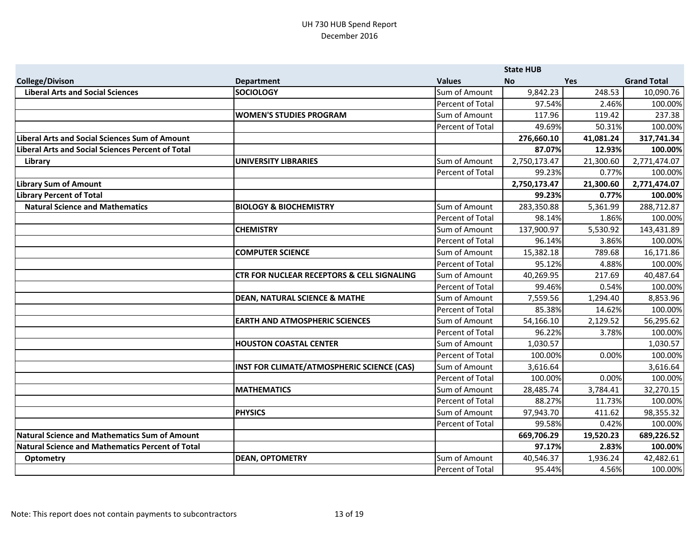|                                                         |                                                       |                  | <b>State HUB</b> |            |                    |
|---------------------------------------------------------|-------------------------------------------------------|------------------|------------------|------------|--------------------|
| <b>College/Divison</b>                                  | <b>Department</b>                                     | <b>Values</b>    | <b>No</b>        | <b>Yes</b> | <b>Grand Total</b> |
| <b>Liberal Arts and Social Sciences</b>                 | <b>SOCIOLOGY</b>                                      | Sum of Amount    | 9,842.23         | 248.53     | 10,090.76          |
|                                                         |                                                       | Percent of Total | 97.54%           | 2.46%      | 100.00%            |
|                                                         | <b>WOMEN'S STUDIES PROGRAM</b>                        | Sum of Amount    | 117.96           | 119.42     | 237.38             |
|                                                         |                                                       | Percent of Total | 49.69%           | 50.31%     | 100.00%            |
| <b>Liberal Arts and Social Sciences Sum of Amount</b>   |                                                       |                  | 276,660.10       | 41,081.24  | 317,741.34         |
| Liberal Arts and Social Sciences Percent of Total       |                                                       |                  | 87.07%           | 12.93%     | 100.00%            |
| Library                                                 | <b>UNIVERSITY LIBRARIES</b>                           | Sum of Amount    | 2,750,173.47     | 21,300.60  | 2,771,474.07       |
|                                                         |                                                       | Percent of Total | 99.23%           | 0.77%      | 100.00%            |
| <b>Library Sum of Amount</b>                            |                                                       |                  | 2,750,173.47     | 21,300.60  | 2,771,474.07       |
| <b>Library Percent of Total</b>                         |                                                       |                  | 99.23%           | 0.77%      | 100.00%            |
| <b>Natural Science and Mathematics</b>                  | <b>BIOLOGY &amp; BIOCHEMISTRY</b>                     | Sum of Amount    | 283,350.88       | 5,361.99   | 288,712.87         |
|                                                         |                                                       | Percent of Total | 98.14%           | 1.86%      | 100.00%            |
|                                                         | <b>CHEMISTRY</b>                                      | Sum of Amount    | 137,900.97       | 5,530.92   | 143,431.89         |
|                                                         |                                                       | Percent of Total | 96.14%           | 3.86%      | 100.00%            |
|                                                         | <b>COMPUTER SCIENCE</b>                               | Sum of Amount    | 15,382.18        | 789.68     | 16,171.86          |
|                                                         |                                                       | Percent of Total | 95.12%           | 4.88%      | 100.00%            |
|                                                         | <b>CTR FOR NUCLEAR RECEPTORS &amp; CELL SIGNALING</b> | Sum of Amount    | 40,269.95        | 217.69     | 40,487.64          |
|                                                         |                                                       | Percent of Total | 99.46%           | 0.54%      | 100.00%            |
|                                                         | <b>DEAN, NATURAL SCIENCE &amp; MATHE</b>              | Sum of Amount    | 7,559.56         | 1,294.40   | 8,853.96           |
|                                                         |                                                       | Percent of Total | 85.38%           | 14.62%     | 100.00%            |
|                                                         | <b>EARTH AND ATMOSPHERIC SCIENCES</b>                 | Sum of Amount    | 54,166.10        | 2,129.52   | 56,295.62          |
|                                                         |                                                       | Percent of Total | 96.22%           | 3.78%      | 100.00%            |
|                                                         | <b>HOUSTON COASTAL CENTER</b>                         | Sum of Amount    | 1,030.57         |            | 1,030.57           |
|                                                         |                                                       | Percent of Total | 100.00%          | 0.00%      | 100.00%            |
|                                                         | INST FOR CLIMATE/ATMOSPHERIC SCIENCE (CAS)            | Sum of Amount    | 3,616.64         |            | 3,616.64           |
|                                                         |                                                       | Percent of Total | 100.00%          | 0.00%      | 100.00%            |
|                                                         | <b>MATHEMATICS</b>                                    | Sum of Amount    | 28,485.74        | 3,784.41   | 32,270.15          |
|                                                         |                                                       | Percent of Total | 88.27%           | 11.73%     | 100.00%            |
|                                                         | <b>PHYSICS</b>                                        | Sum of Amount    | 97,943.70        | 411.62     | 98,355.32          |
|                                                         |                                                       | Percent of Total | 99.58%           | 0.42%      | 100.00%            |
| <b>Natural Science and Mathematics Sum of Amount</b>    |                                                       |                  | 669,706.29       | 19,520.23  | 689,226.52         |
| <b>Natural Science and Mathematics Percent of Total</b> |                                                       |                  | 97.17%           | 2.83%      | 100.00%            |
| Optometry                                               | <b>DEAN, OPTOMETRY</b>                                | Sum of Amount    | 40,546.37        | 1,936.24   | 42,482.61          |
|                                                         |                                                       | Percent of Total | 95.44%           | 4.56%      | 100.00%            |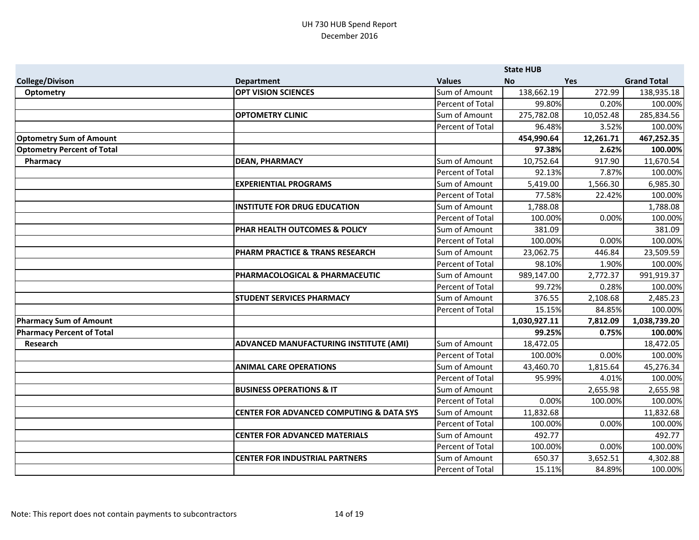|                                   |                                                     |                         | <b>State HUB</b> |            |                    |
|-----------------------------------|-----------------------------------------------------|-------------------------|------------------|------------|--------------------|
| <b>College/Divison</b>            | <b>Department</b>                                   | <b>Values</b>           | <b>No</b>        | <b>Yes</b> | <b>Grand Total</b> |
| <b>Optometry</b>                  | <b>OPT VISION SCIENCES</b>                          | Sum of Amount           | 138,662.19       | 272.99     | 138,935.18         |
|                                   |                                                     | Percent of Total        | 99.80%           | 0.20%      | 100.00%            |
|                                   | <b>OPTOMETRY CLINIC</b>                             | Sum of Amount           | 275,782.08       | 10,052.48  | 285,834.56         |
|                                   |                                                     | Percent of Total        | 96.48%           | 3.52%      | 100.00%            |
| <b>Optometry Sum of Amount</b>    |                                                     |                         | 454,990.64       | 12,261.71  | 467,252.35         |
| <b>Optometry Percent of Total</b> |                                                     |                         | 97.38%           | 2.62%      | 100.00%            |
| Pharmacy                          | <b>DEAN, PHARMACY</b>                               | Sum of Amount           | 10,752.64        | 917.90     | 11,670.54          |
|                                   |                                                     | Percent of Total        | 92.13%           | 7.87%      | 100.00%            |
|                                   | <b>EXPERIENTIAL PROGRAMS</b>                        | Sum of Amount           | 5,419.00         | 1,566.30   | 6,985.30           |
|                                   |                                                     | Percent of Total        | 77.58%           | 22.42%     | 100.00%            |
|                                   | <b>INSTITUTE FOR DRUG EDUCATION</b>                 | Sum of Amount           | 1,788.08         |            | 1,788.08           |
|                                   |                                                     | <b>Percent of Total</b> | 100.00%          | 0.00%      | 100.00%            |
|                                   | <b>PHAR HEALTH OUTCOMES &amp; POLICY</b>            | Sum of Amount           | 381.09           |            | 381.09             |
|                                   |                                                     | Percent of Total        | 100.00%          | 0.00%      | 100.00%            |
|                                   | PHARM PRACTICE & TRANS RESEARCH                     | Sum of Amount           | 23,062.75        | 446.84     | 23,509.59          |
|                                   |                                                     | Percent of Total        | 98.10%           | 1.90%      | 100.00%            |
|                                   | PHARMACOLOGICAL & PHARMACEUTIC                      | Sum of Amount           | 989,147.00       | 2,772.37   | 991,919.37         |
|                                   |                                                     | Percent of Total        | 99.72%           | 0.28%      | 100.00%            |
|                                   | <b>STUDENT SERVICES PHARMACY</b>                    | Sum of Amount           | 376.55           | 2,108.68   | 2,485.23           |
|                                   |                                                     | Percent of Total        | 15.15%           | 84.85%     | 100.00%            |
| <b>Pharmacy Sum of Amount</b>     |                                                     |                         | 1,030,927.11     | 7,812.09   | 1,038,739.20       |
| <b>Pharmacy Percent of Total</b>  |                                                     |                         | 99.25%           | 0.75%      | 100.00%            |
| Research                          | ADVANCED MANUFACTURING INSTITUTE (AMI)              | Sum of Amount           | 18,472.05        |            | 18,472.05          |
|                                   |                                                     | Percent of Total        | 100.00%          | 0.00%      | 100.00%            |
|                                   | <b>ANIMAL CARE OPERATIONS</b>                       | Sum of Amount           | 43,460.70        | 1,815.64   | 45,276.34          |
|                                   |                                                     | <b>Percent of Total</b> | 95.99%           | 4.01%      | 100.00%            |
|                                   | <b>BUSINESS OPERATIONS &amp; IT</b>                 | Sum of Amount           |                  | 2,655.98   | 2,655.98           |
|                                   |                                                     | Percent of Total        | 0.00%            | 100.00%    | 100.00%            |
|                                   | <b>CENTER FOR ADVANCED COMPUTING &amp; DATA SYS</b> | Sum of Amount           | 11,832.68        |            | 11,832.68          |
|                                   |                                                     | <b>Percent of Total</b> | 100.00%          | 0.00%      | 100.00%            |
|                                   | <b>CENTER FOR ADVANCED MATERIALS</b>                | Sum of Amount           | 492.77           |            | 492.77             |
|                                   |                                                     | Percent of Total        | 100.00%          | 0.00%      | 100.00%            |
|                                   | <b>CENTER FOR INDUSTRIAL PARTNERS</b>               | Sum of Amount           | 650.37           | 3,652.51   | 4,302.88           |
|                                   |                                                     | Percent of Total        | 15.11%           | 84.89%     | 100.00%            |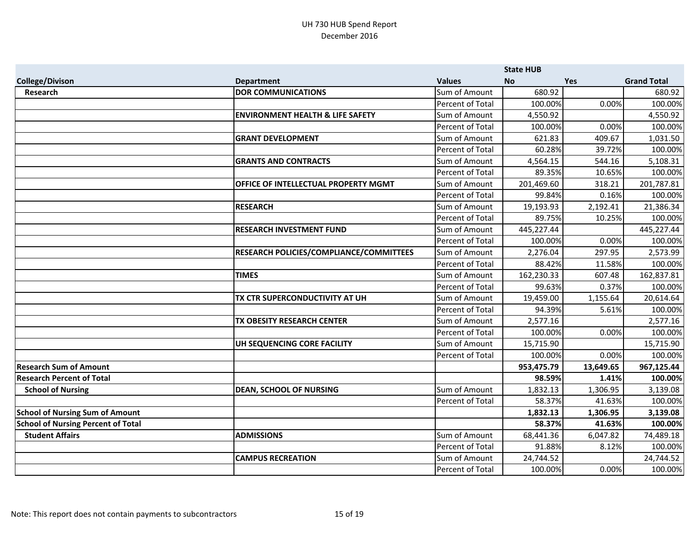|                                           |                                             |                         | <b>State HUB</b> |            |                    |
|-------------------------------------------|---------------------------------------------|-------------------------|------------------|------------|--------------------|
| <b>College/Divison</b>                    | <b>Department</b>                           | <b>Values</b>           | <b>No</b>        | <b>Yes</b> | <b>Grand Total</b> |
| Research                                  | <b>DOR COMMUNICATIONS</b>                   | Sum of Amount           | 680.92           |            | 680.92             |
|                                           |                                             | Percent of Total        | 100.00%          | 0.00%      | 100.00%            |
|                                           | <b>ENVIRONMENT HEALTH &amp; LIFE SAFETY</b> | Sum of Amount           | 4,550.92         |            | 4,550.92           |
|                                           |                                             | Percent of Total        | 100.00%          | 0.00%      | 100.00%            |
|                                           | <b>GRANT DEVELOPMENT</b>                    | Sum of Amount           | 621.83           | 409.67     | 1,031.50           |
|                                           |                                             | <b>Percent of Total</b> | 60.28%           | 39.72%     | 100.00%            |
|                                           | <b>GRANTS AND CONTRACTS</b>                 | Sum of Amount           | 4,564.15         | 544.16     | 5,108.31           |
|                                           |                                             | Percent of Total        | 89.35%           | 10.65%     | 100.00%            |
|                                           | OFFICE OF INTELLECTUAL PROPERTY MGMT        | Sum of Amount           | 201,469.60       | 318.21     | 201,787.81         |
|                                           |                                             | Percent of Total        | 99.84%           | 0.16%      | 100.00%            |
|                                           | <b>RESEARCH</b>                             | Sum of Amount           | 19,193.93        | 2,192.41   | 21,386.34          |
|                                           |                                             | Percent of Total        | 89.75%           | 10.25%     | 100.00%            |
|                                           | <b>RESEARCH INVESTMENT FUND</b>             | Sum of Amount           | 445,227.44       |            | 445,227.44         |
|                                           |                                             | Percent of Total        | 100.00%          | 0.00%      | 100.00%            |
|                                           | RESEARCH POLICIES/COMPLIANCE/COMMITTEES     | Sum of Amount           | 2,276.04         | 297.95     | 2,573.99           |
|                                           |                                             | Percent of Total        | 88.42%           | 11.58%     | 100.00%            |
|                                           | <b>TIMES</b>                                | Sum of Amount           | 162,230.33       | 607.48     | 162,837.81         |
|                                           |                                             | Percent of Total        | 99.63%           | 0.37%      | 100.00%            |
|                                           | TX CTR SUPERCONDUCTIVITY AT UH              | Sum of Amount           | 19,459.00        | 1,155.64   | 20,614.64          |
|                                           |                                             | Percent of Total        | 94.39%           | 5.61%      | 100.00%            |
|                                           | TX OBESITY RESEARCH CENTER                  | Sum of Amount           | 2,577.16         |            | 2,577.16           |
|                                           |                                             | Percent of Total        | 100.00%          | 0.00%      | 100.00%            |
|                                           | UH SEQUENCING CORE FACILITY                 | Sum of Amount           | 15,715.90        |            | 15,715.90          |
|                                           |                                             | Percent of Total        | 100.00%          | 0.00%      | 100.00%            |
| <b>Research Sum of Amount</b>             |                                             |                         | 953,475.79       | 13,649.65  | 967,125.44         |
| <b>Research Percent of Total</b>          |                                             |                         | 98.59%           | 1.41%      | 100.00%            |
| <b>School of Nursing</b>                  | <b>DEAN, SCHOOL OF NURSING</b>              | Sum of Amount           | 1,832.13         | 1,306.95   | 3,139.08           |
|                                           |                                             | Percent of Total        | 58.37%           | 41.63%     | 100.00%            |
| <b>School of Nursing Sum of Amount</b>    |                                             |                         | 1,832.13         | 1,306.95   | 3,139.08           |
| <b>School of Nursing Percent of Total</b> |                                             |                         | 58.37%           | 41.63%     | 100.00%            |
| <b>Student Affairs</b>                    | <b>ADMISSIONS</b>                           | Sum of Amount           | 68,441.36        | 6,047.82   | 74,489.18          |
|                                           |                                             | Percent of Total        | 91.88%           | 8.12%      | 100.00%            |
|                                           | <b>CAMPUS RECREATION</b>                    | Sum of Amount           | 24,744.52        |            | 24,744.52          |
|                                           |                                             | Percent of Total        | 100.00%          | 0.00%      | 100.00%            |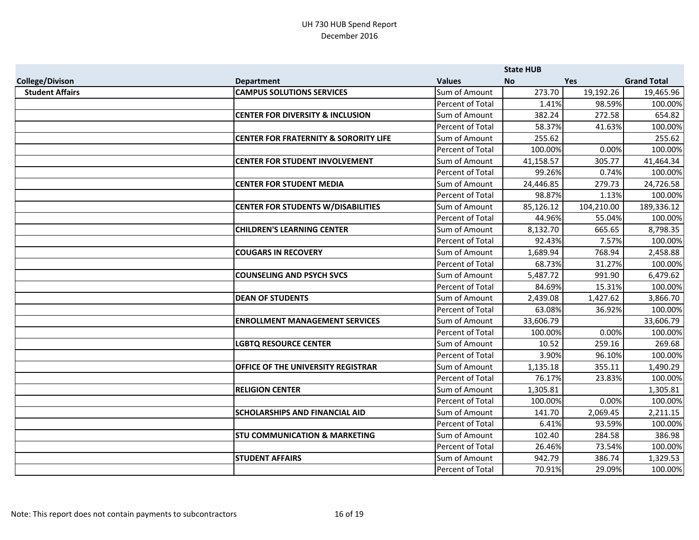|                        |                                                  |                  | <b>State HUB</b> |            |                    |
|------------------------|--------------------------------------------------|------------------|------------------|------------|--------------------|
| <b>College/Divison</b> | <b>Department</b>                                | <b>Values</b>    | <b>No</b>        | <b>Yes</b> | <b>Grand Total</b> |
| <b>Student Affairs</b> | <b>CAMPUS SOLUTIONS SERVICES</b>                 | Sum of Amount    | 273.70           | 19,192.26  | 19,465.96          |
|                        |                                                  | Percent of Total | 1.41%            | 98.59%     | 100.00%            |
|                        | <b>CENTER FOR DIVERSITY &amp; INCLUSION</b>      | Sum of Amount    | 382.24           | 272.58     | 654.82             |
|                        |                                                  | Percent of Total | 58.37%           | 41.63%     | 100.00%            |
|                        | <b>CENTER FOR FRATERNITY &amp; SORORITY LIFE</b> | Sum of Amount    | 255.62           |            | 255.62             |
|                        |                                                  | Percent of Total | 100.00%          | 0.00%      | 100.00%            |
|                        | <b>CENTER FOR STUDENT INVOLVEMENT</b>            | Sum of Amount    | 41,158.57        | 305.77     | 41,464.34          |
|                        |                                                  | Percent of Total | 99.26%           | 0.74%      | 100.00%            |
|                        | <b>CENTER FOR STUDENT MEDIA</b>                  | Sum of Amount    | 24,446.85        | 279.73     | 24,726.58          |
|                        |                                                  | Percent of Total | 98.87%           | 1.13%      | 100.00%            |
|                        | <b>CENTER FOR STUDENTS W/DISABILITIES</b>        | Sum of Amount    | 85,126.12        | 104,210.00 | 189,336.12         |
|                        |                                                  | Percent of Total | 44.96%           | 55.04%     | 100.00%            |
|                        | <b>CHILDREN'S LEARNING CENTER</b>                | Sum of Amount    | 8,132.70         | 665.65     | 8,798.35           |
|                        |                                                  | Percent of Total | 92.43%           | 7.57%      | 100.00%            |
|                        | <b>COUGARS IN RECOVERY</b>                       | Sum of Amount    | 1,689.94         | 768.94     | 2,458.88           |
|                        |                                                  | Percent of Total | 68.73%           | 31.27%     | 100.00%            |
|                        | <b>COUNSELING AND PSYCH SVCS</b>                 | Sum of Amount    | 5,487.72         | 991.90     | 6,479.62           |
|                        |                                                  | Percent of Total | 84.69%           | 15.31%     | 100.00%            |
|                        | <b>DEAN OF STUDENTS</b>                          | Sum of Amount    | 2,439.08         | 1,427.62   | 3,866.70           |
|                        |                                                  | Percent of Total | 63.08%           | 36.92%     | 100.00%            |
|                        | <b>ENROLLMENT MANAGEMENT SERVICES</b>            | Sum of Amount    | 33,606.79        |            | 33,606.79          |
|                        |                                                  | Percent of Total | 100.00%          | 0.00%      | 100.00%            |
|                        | <b>LGBTQ RESOURCE CENTER</b>                     | Sum of Amount    | 10.52            | 259.16     | 269.68             |
|                        |                                                  | Percent of Total | 3.90%            | 96.10%     | 100.00%            |
|                        | OFFICE OF THE UNIVERSITY REGISTRAR               | Sum of Amount    | 1,135.18         | 355.11     | 1,490.29           |
|                        |                                                  | Percent of Total | 76.17%           | 23.83%     | 100.00%            |
|                        | <b>RELIGION CENTER</b>                           | Sum of Amount    | 1,305.81         |            | 1,305.81           |
|                        |                                                  | Percent of Total | 100.00%          | 0.00%      | 100.00%            |
|                        | <b>SCHOLARSHIPS AND FINANCIAL AID</b>            | Sum of Amount    | 141.70           | 2,069.45   | 2,211.15           |
|                        |                                                  | Percent of Total | 6.41%            | 93.59%     | 100.00%            |
|                        | <b>STU COMMUNICATION &amp; MARKETING</b>         | Sum of Amount    | 102.40           | 284.58     | 386.98             |
|                        |                                                  | Percent of Total | 26.46%           | 73.54%     | 100.00%            |
|                        | <b>STUDENT AFFAIRS</b>                           | Sum of Amount    | 942.79           | 386.74     | 1,329.53           |
|                        |                                                  | Percent of Total | 70.91%           | 29.09%     | 100.00%            |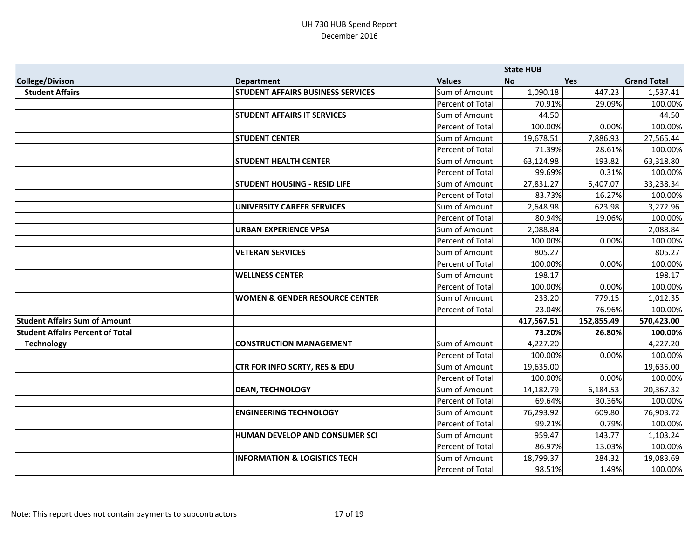|                                         |                                           |                         | <b>State HUB</b> |            |                    |
|-----------------------------------------|-------------------------------------------|-------------------------|------------------|------------|--------------------|
| <b>College/Divison</b>                  | <b>Department</b>                         | <b>Values</b>           | <b>No</b>        | <b>Yes</b> | <b>Grand Total</b> |
| <b>Student Affairs</b>                  | <b>STUDENT AFFAIRS BUSINESS SERVICES</b>  | Sum of Amount           | 1,090.18         | 447.23     | 1,537.41           |
|                                         |                                           | Percent of Total        | 70.91%           | 29.09%     | 100.00%            |
|                                         | <b>STUDENT AFFAIRS IT SERVICES</b>        | Sum of Amount           | 44.50            |            | 44.50              |
|                                         |                                           | Percent of Total        | 100.00%          | 0.00%      | 100.00%            |
|                                         | <b>STUDENT CENTER</b>                     | Sum of Amount           | 19,678.51        | 7,886.93   | 27,565.44          |
|                                         |                                           | <b>Percent of Total</b> | 71.39%           | 28.61%     | 100.00%            |
|                                         | <b>STUDENT HEALTH CENTER</b>              | Sum of Amount           | 63,124.98        | 193.82     | 63,318.80          |
|                                         |                                           | Percent of Total        | 99.69%           | 0.31%      | 100.00%            |
|                                         | <b>STUDENT HOUSING - RESID LIFE</b>       | Sum of Amount           | 27,831.27        | 5,407.07   | 33,238.34          |
|                                         |                                           | Percent of Total        | 83.73%           | 16.27%     | 100.00%            |
|                                         | <b>UNIVERSITY CAREER SERVICES</b>         | Sum of Amount           | 2,648.98         | 623.98     | 3,272.96           |
|                                         |                                           | Percent of Total        | 80.94%           | 19.06%     | 100.00%            |
|                                         | <b>URBAN EXPERIENCE VPSA</b>              | Sum of Amount           | 2,088.84         |            | 2,088.84           |
|                                         |                                           | Percent of Total        | 100.00%          | 0.00%      | 100.00%            |
|                                         | <b>VETERAN SERVICES</b>                   | Sum of Amount           | 805.27           |            | 805.27             |
|                                         |                                           | Percent of Total        | 100.00%          | 0.00%      | 100.00%            |
|                                         | <b>WELLNESS CENTER</b>                    | Sum of Amount           | 198.17           |            | 198.17             |
|                                         |                                           | Percent of Total        | 100.00%          | 0.00%      | 100.00%            |
|                                         | <b>WOMEN &amp; GENDER RESOURCE CENTER</b> | Sum of Amount           | 233.20           | 779.15     | 1,012.35           |
|                                         |                                           | Percent of Total        | 23.04%           | 76.96%     | 100.00%            |
| <b>Student Affairs Sum of Amount</b>    |                                           |                         | 417,567.51       | 152,855.49 | 570,423.00         |
| <b>Student Affairs Percent of Total</b> |                                           |                         | 73.20%           | 26.80%     | 100.00%            |
| <b>Technology</b>                       | <b>CONSTRUCTION MANAGEMENT</b>            | Sum of Amount           | 4,227.20         |            | 4,227.20           |
|                                         |                                           | Percent of Total        | 100.00%          | 0.00%      | 100.00%            |
|                                         | CTR FOR INFO SCRTY, RES & EDU             | Sum of Amount           | 19,635.00        |            | 19,635.00          |
|                                         |                                           | <b>Percent of Total</b> | 100.00%          | 0.00%      | 100.00%            |
|                                         | <b>DEAN, TECHNOLOGY</b>                   | Sum of Amount           | 14,182.79        | 6,184.53   | 20,367.32          |
|                                         |                                           | Percent of Total        | 69.64%           | 30.36%     | 100.00%            |
|                                         | <b>ENGINEERING TECHNOLOGY</b>             | Sum of Amount           | 76,293.92        | 609.80     | 76,903.72          |
|                                         |                                           | Percent of Total        | 99.21%           | 0.79%      | 100.00%            |
|                                         | HUMAN DEVELOP AND CONSUMER SCI            | Sum of Amount           | 959.47           | 143.77     | 1,103.24           |
|                                         |                                           | Percent of Total        | 86.97%           | 13.03%     | 100.00%            |
|                                         | <b>INFORMATION &amp; LOGISTICS TECH</b>   | Sum of Amount           | 18,799.37        | 284.32     | 19,083.69          |
|                                         |                                           | <b>Percent of Total</b> | 98.51%           | 1.49%      | 100.00%            |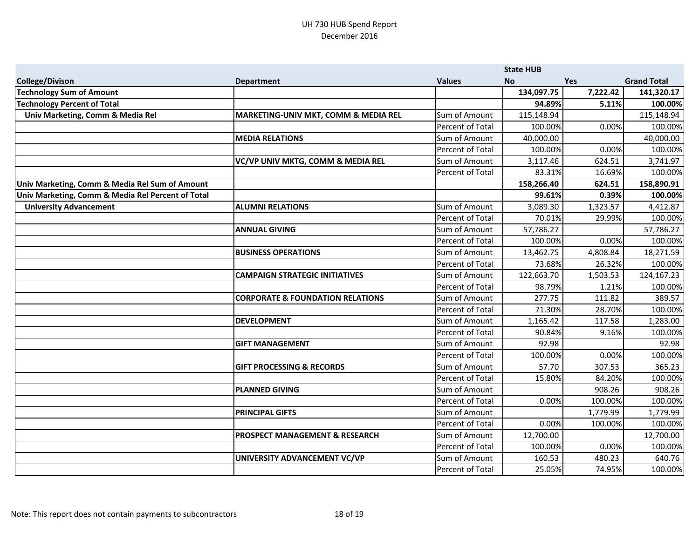|                                                   |                                             |                  | <b>State HUB</b> |            |                    |
|---------------------------------------------------|---------------------------------------------|------------------|------------------|------------|--------------------|
| <b>College/Divison</b>                            | <b>Department</b>                           | <b>Values</b>    | <b>No</b>        | <b>Yes</b> | <b>Grand Total</b> |
| <b>Technology Sum of Amount</b>                   |                                             |                  | 134,097.75       | 7,222.42   | 141,320.17         |
| <b>Technology Percent of Total</b>                |                                             |                  | 94.89%           | 5.11%      | 100.00%            |
| Univ Marketing, Comm & Media Rel                  | MARKETING-UNIV MKT, COMM & MEDIA REL        | Sum of Amount    | 115,148.94       |            | 115,148.94         |
|                                                   |                                             | Percent of Total | 100.00%          | 0.00%      | 100.00%            |
|                                                   | <b>MEDIA RELATIONS</b>                      | Sum of Amount    | 40,000.00        |            | 40,000.00          |
|                                                   |                                             | Percent of Total | 100.00%          | 0.00%      | 100.00%            |
|                                                   | VC/VP UNIV MKTG, COMM & MEDIA REL           | Sum of Amount    | 3,117.46         | 624.51     | 3,741.97           |
|                                                   |                                             | Percent of Total | 83.31%           | 16.69%     | 100.00%            |
| Univ Marketing, Comm & Media Rel Sum of Amount    |                                             |                  | 158,266.40       | 624.51     | 158,890.91         |
| Univ Marketing, Comm & Media Rel Percent of Total |                                             |                  | 99.61%           | 0.39%      | 100.00%            |
| <b>University Advancement</b>                     | <b>ALUMNI RELATIONS</b>                     | Sum of Amount    | 3,089.30         | 1,323.57   | 4,412.87           |
|                                                   |                                             | Percent of Total | 70.01%           | 29.99%     | 100.00%            |
|                                                   | <b>ANNUAL GIVING</b>                        | Sum of Amount    | 57,786.27        |            | 57,786.27          |
|                                                   |                                             | Percent of Total | 100.00%          | 0.00%      | 100.00%            |
|                                                   | <b>BUSINESS OPERATIONS</b>                  | Sum of Amount    | 13,462.75        | 4,808.84   | 18,271.59          |
|                                                   |                                             | Percent of Total | 73.68%           | 26.32%     | 100.00%            |
|                                                   | <b>CAMPAIGN STRATEGIC INITIATIVES</b>       | Sum of Amount    | 122,663.70       | 1,503.53   | 124,167.23         |
|                                                   |                                             | Percent of Total | 98.79%           | 1.21%      | 100.00%            |
|                                                   | <b>CORPORATE &amp; FOUNDATION RELATIONS</b> | Sum of Amount    | 277.75           | 111.82     | 389.57             |
|                                                   |                                             | Percent of Total | 71.30%           | 28.70%     | 100.00%            |
|                                                   | <b>DEVELOPMENT</b>                          | Sum of Amount    | 1,165.42         | 117.58     | 1,283.00           |
|                                                   |                                             | Percent of Total | 90.84%           | 9.16%      | 100.00%            |
|                                                   | <b>GIFT MANAGEMENT</b>                      | Sum of Amount    | 92.98            |            | 92.98              |
|                                                   |                                             | Percent of Total | 100.00%          | 0.00%      | 100.00%            |
|                                                   | <b>GIFT PROCESSING &amp; RECORDS</b>        | Sum of Amount    | 57.70            | 307.53     | 365.23             |
|                                                   |                                             | Percent of Total | 15.80%           | 84.20%     | 100.00%            |
|                                                   | <b>PLANNED GIVING</b>                       | Sum of Amount    |                  | 908.26     | 908.26             |
|                                                   |                                             | Percent of Total | 0.00%            | 100.00%    | 100.00%            |
|                                                   | <b>PRINCIPAL GIFTS</b>                      | Sum of Amount    |                  | 1,779.99   | 1,779.99           |
|                                                   |                                             | Percent of Total | 0.00%            | 100.00%    | 100.00%            |
|                                                   | <b>PROSPECT MANAGEMENT &amp; RESEARCH</b>   | Sum of Amount    | 12,700.00        |            | 12,700.00          |
|                                                   |                                             | Percent of Total | 100.00%          | 0.00%      | 100.00%            |
|                                                   | UNIVERSITY ADVANCEMENT VC/VP                | Sum of Amount    | 160.53           | 480.23     | 640.76             |
|                                                   |                                             | Percent of Total | 25.05%           | 74.95%     | 100.00%            |